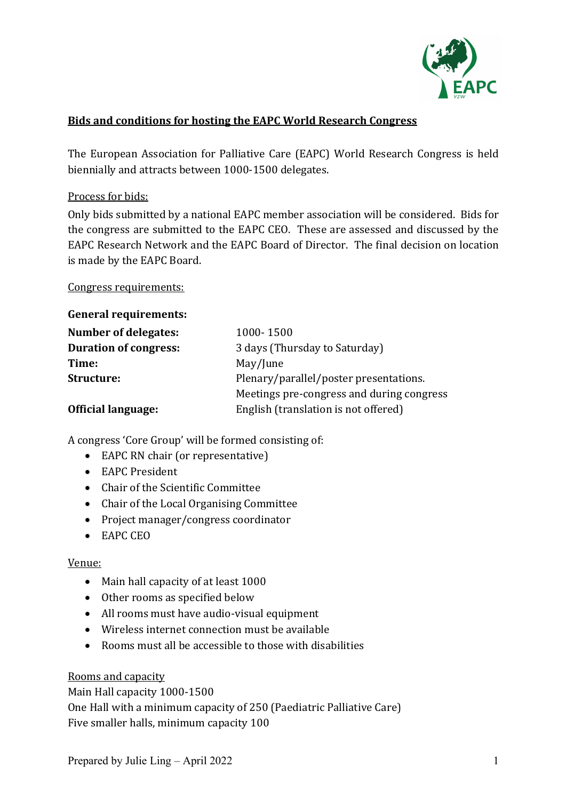

# **Bids and conditions for hosting the EAPC World Research Congress**

The European Association for Palliative Care (EAPC) World Research Congress is held biennially and attracts between 1000-1500 delegates.

#### Process for bids:

Only bids submitted by a national EAPC member association will be considered. Bids for the congress are submitted to the EAPC CEO. These are assessed and discussed by the EAPC Research Network and the EAPC Board of Director. The final decision on location is made by the EAPC Board.

Congress requirements:

#### **General requirements:**

| Number of delegates:         | 1000-1500                                 |
|------------------------------|-------------------------------------------|
| <b>Duration of congress:</b> | 3 days (Thursday to Saturday)             |
| Time:                        | May/June                                  |
| Structure:                   | Plenary/parallel/poster presentations.    |
|                              | Meetings pre-congress and during congress |
| <b>Official language:</b>    | English (translation is not offered)      |

A congress 'Core Group' will be formed consisting of:

- EAPC RN chair (or representative)
- EAPC President
- Chair of the Scientific Committee
- Chair of the Local Organising Committee
- Project manager/congress coordinator
- EAPC CEO

### Venue:

- Main hall capacity of at least 1000
- Other rooms as specified below
- All rooms must have audio-visual equipment
- Wireless internet connection must be available
- Rooms must all be accessible to those with disabilities

#### Rooms and capacity

Main Hall capacity 1000-1500 One Hall with a minimum capacity of 250 (Paediatric Palliative Care) Five smaller halls, minimum capacity 100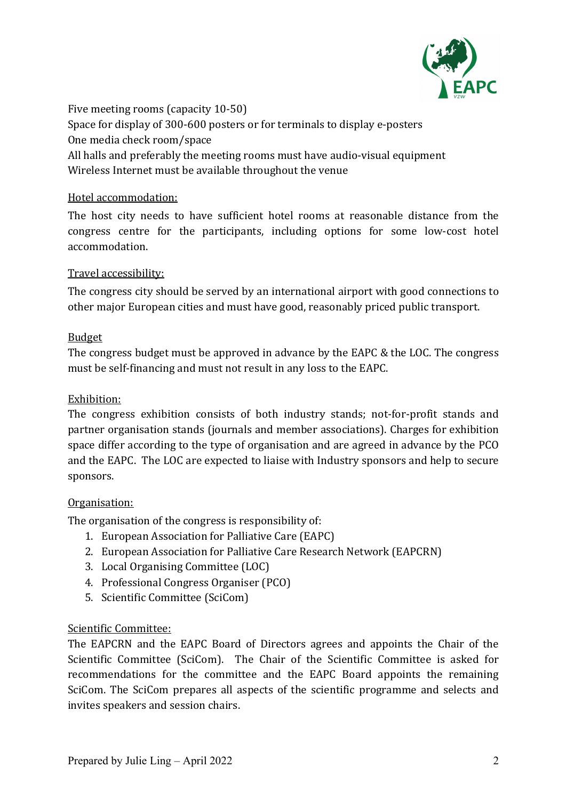

Five meeting rooms (capacity  $10-50$ ) Space for display of 300-600 posters or for terminals to display e-posters One media check room/space All halls and preferably the meeting rooms must have audio-visual equipment Wireless Internet must be available throughout the venue

# Hotel accommodation:

The host city needs to have sufficient hotel rooms at reasonable distance from the congress centre for the participants, including options for some low-cost hotel accommodation.

# Travel accessibility:

The congress city should be served by an international airport with good connections to other major European cities and must have good, reasonably priced public transport.

# Budget

The congress budget must be approved in advance by the EAPC & the LOC. The congress must be self-financing and must not result in any loss to the EAPC.

# Exhibition:

The congress exhibition consists of both industry stands; not-for-profit stands and partner organisation stands (journals and member associations). Charges for exhibition space differ according to the type of organisation and are agreed in advance by the PCO and the EAPC. The LOC are expected to liaise with Industry sponsors and help to secure sponsors. 

### Organisation:

The organisation of the congress is responsibility of:

- 1. European Association for Palliative Care (EAPC)
- 2. European Association for Palliative Care Research Network (EAPCRN)
- 3. Local Organising Committee (LOC)
- 4. Professional Congress Organiser (PCO)
- 5. Scientific Committee (SciCom)

### Scientific Committee:

The EAPCRN and the EAPC Board of Directors agrees and appoints the Chair of the Scientific Committee (SciCom). The Chair of the Scientific Committee is asked for recommendations for the committee and the EAPC Board appoints the remaining SciCom. The SciCom prepares all aspects of the scientific programme and selects and invites speakers and session chairs.